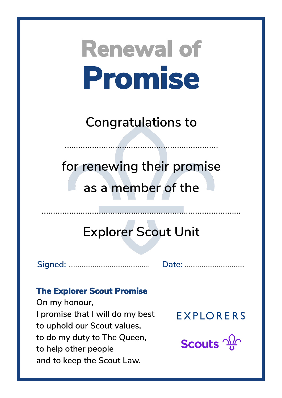**Congratulations to**

……………………………………………….…………

**for renewing their promise as a member of the**

## **Explorer Scout Unit**

……………………………………...……………………………………

**Signed:** ……………...……………………. **Date:** …………………....…….

### **The Explorer Scout Promise**

**On my honour, I promise that I will do my best to uphold our Scout values, to do my duty to The Queen, to help other people and to keep the Scout Law.**

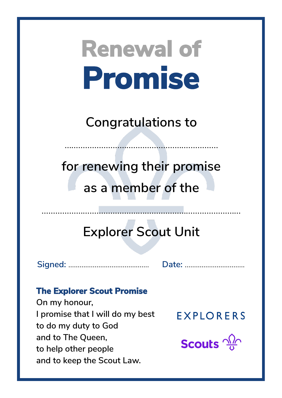**Congratulations to**

……………………………………………….…………

**for renewing their promise as a member of the**

## **Explorer Scout Unit**

……………………………………...……………………………………

**Signed:** ……………...……………………. **Date:** …………………....…….

### **The Explorer Scout Promise**

**On my honour, I promise that I will do my best to do my duty to God and to The Queen, to help other people and to keep the Scout Law.**

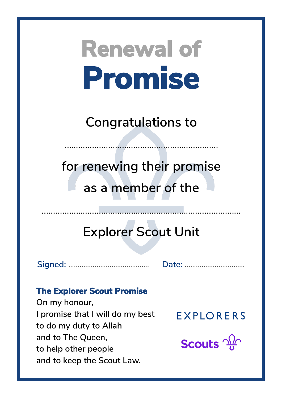**Congratulations to**

……………………………………………….…………

**for renewing their promise as a member of the**

## **Explorer Scout Unit**

……………………………………...……………………………………

**Signed:** ……………...……………………. **Date:** …………………....…….

### **The Explorer Scout Promise**

**On my honour, I promise that I will do my best to do my duty to Allah and to The Queen, to help other people and to keep the Scout Law.**

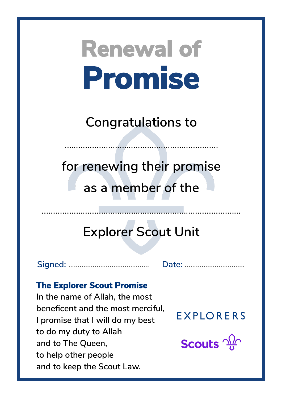**Congratulations to**

……………………………………………….…………

**for renewing their promise as a member of the**

## **Explorer Scout Unit**

**Signed:** ……………...……………………. **Date:** …………………....…….

#### **The Explorer Scout Promise**

**In the name of Allah, the most beneficent and the most merciful, I promise that I will do my best to do my duty to Allah and to The Queen, to help other people and to keep the Scout Law.**

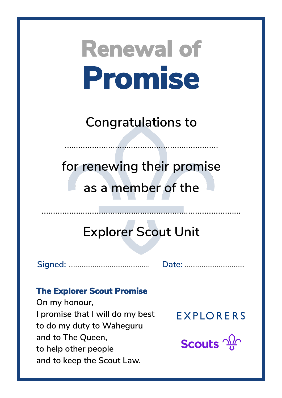**Congratulations to**

……………………………………………….…………

**for renewing their promise as a member of the**

## **Explorer Scout Unit**

……………………………………...……………………………………

**Signed:** ……………...……………………. **Date:** …………………....…….

### **The Explorer Scout Promise**

**On my honour, I promise that I will do my best to do my duty to Waheguru and to The Queen, to help other people and to keep the Scout Law.**

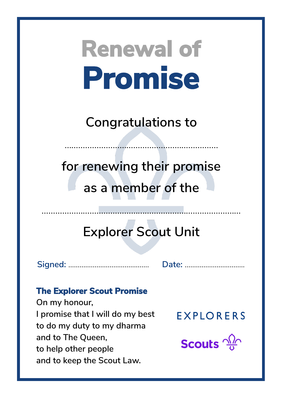**Congratulations to**

……………………………………………….…………

**for renewing their promise as a member of the**

## **Explorer Scout Unit**

……………………………………...……………………………………

**Signed:** ……………...……………………. **Date:** …………………....…….

### **The Explorer Scout Promise**

**On my honour, I promise that I will do my best to do my duty to my dharma and to The Queen, to help other people and to keep the Scout Law.**